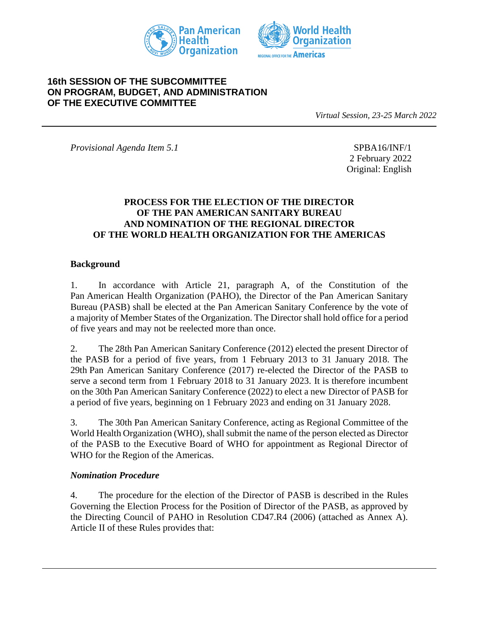



# **16th SESSION OF THE SUBCOMMITTEE ON PROGRAM, BUDGET, AND ADMINISTRATION OF THE EXECUTIVE COMMITTEE**

*Virtual Session, 23-25 March 2022*

*Provisional Agenda Item 5.1* SPBA16/INF/1

2 February 2022 Original: English

#### **PROCESS FOR THE ELECTION OF THE DIRECTOR OF THE PAN AMERICAN SANITARY BUREAU AND NOMINATION OF THE REGIONAL DIRECTOR OF THE WORLD HEALTH ORGANIZATION FOR THE AMERICAS**

#### **Background**

1. In accordance with Article 21, paragraph A, of the Constitution of the Pan American Health Organization (PAHO), the Director of the Pan American Sanitary Bureau (PASB) shall be elected at the Pan American Sanitary Conference by the vote of a majority of Member States of the Organization. The Director shall hold office for a period of five years and may not be reelected more than once.

2. The 28th Pan American Sanitary Conference (2012) elected the present Director of the PASB for a period of five years, from 1 February 2013 to 31 January 2018. The 29th Pan American Sanitary Conference (2017) re-elected the Director of the PASB to serve a second term from 1 February 2018 to 31 January 2023. It is therefore incumbent on the 30th Pan American Sanitary Conference (2022) to elect a new Director of PASB for a period of five years, beginning on 1 February 2023 and ending on 31 January 2028.

3. The 30th Pan American Sanitary Conference, acting as Regional Committee of the World Health Organization (WHO), shall submit the name of the person elected as Director of the PASB to the Executive Board of WHO for appointment as Regional Director of WHO for the Region of the Americas.

#### *Nomination Procedure*

4. The procedure for the election of the Director of PASB is described in the Rules Governing the Election Process for the Position of Director of the PASB, as approved by the Directing Council of PAHO in Resolution CD47.R4 (2006) (attached as Annex A). Article II of these Rules provides that: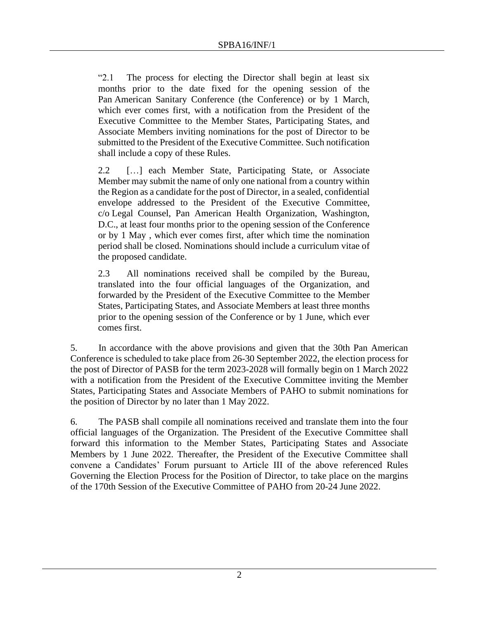"2.1 The process for electing the Director shall begin at least six months prior to the date fixed for the opening session of the Pan American Sanitary Conference (the Conference) or by 1 March, which ever comes first, with a notification from the President of the Executive Committee to the Member States, Participating States, and Associate Members inviting nominations for the post of Director to be submitted to the President of the Executive Committee. Such notification shall include a copy of these Rules.

2.2 […] each Member State, Participating State, or Associate Member may submit the name of only one national from a country within the Region as a candidate for the post of Director, in a sealed, confidential envelope addressed to the President of the Executive Committee, c/o Legal Counsel, Pan American Health Organization, Washington, D.C., at least four months prior to the opening session of the Conference or by 1 May , which ever comes first, after which time the nomination period shall be closed. Nominations should include a curriculum vitae of the proposed candidate.

2.3 All nominations received shall be compiled by the Bureau, translated into the four official languages of the Organization, and forwarded by the President of the Executive Committee to the Member States, Participating States, and Associate Members at least three months prior to the opening session of the Conference or by 1 June, which ever comes first.

5. In accordance with the above provisions and given that the 30th Pan American Conference is scheduled to take place from 26-30 September 2022, the election process for the post of Director of PASB for the term 2023-2028 will formally begin on 1 March 2022 with a notification from the President of the Executive Committee inviting the Member States, Participating States and Associate Members of PAHO to submit nominations for the position of Director by no later than 1 May 2022.

6. The PASB shall compile all nominations received and translate them into the four official languages of the Organization. The President of the Executive Committee shall forward this information to the Member States, Participating States and Associate Members by 1 June 2022. Thereafter, the President of the Executive Committee shall convene a Candidates' Forum pursuant to Article III of the above referenced Rules Governing the Election Process for the Position of Director, to take place on the margins of the 170th Session of the Executive Committee of PAHO from 20-24 June 2022.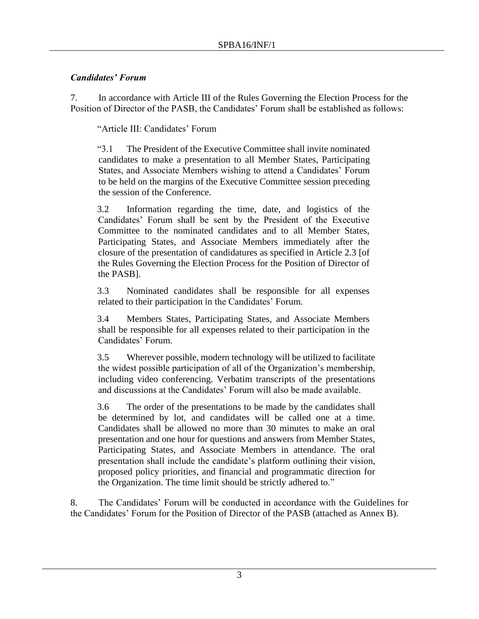# *Candidates' Forum*

7. In accordance with Article III of the Rules Governing the Election Process for the Position of Director of the PASB, the Candidates' Forum shall be established as follows:

"Article III: Candidates' Forum

"3.1 The President of the Executive Committee shall invite nominated candidates to make a presentation to all Member States, Participating States, and Associate Members wishing to attend a Candidates' Forum to be held on the margins of the Executive Committee session preceding the session of the Conference.

3.2 Information regarding the time, date, and logistics of the Candidates' Forum shall be sent by the President of the Executive Committee to the nominated candidates and to all Member States, Participating States, and Associate Members immediately after the closure of the presentation of candidatures as specified in Article 2.3 [of the Rules Governing the Election Process for the Position of Director of the PASB].

3.3 Nominated candidates shall be responsible for all expenses related to their participation in the Candidates' Forum.

3.4 Members States, Participating States, and Associate Members shall be responsible for all expenses related to their participation in the Candidates' Forum.

3.5 Wherever possible, modern technology will be utilized to facilitate the widest possible participation of all of the Organization's membership, including video conferencing. Verbatim transcripts of the presentations and discussions at the Candidates' Forum will also be made available.

3.6 The order of the presentations to be made by the candidates shall be determined by lot, and candidates will be called one at a time. Candidates shall be allowed no more than 30 minutes to make an oral presentation and one hour for questions and answers from Member States, Participating States, and Associate Members in attendance. The oral presentation shall include the candidate's platform outlining their vision, proposed policy priorities, and financial and programmatic direction for the Organization. The time limit should be strictly adhered to."

8. The Candidates' Forum will be conducted in accordance with the Guidelines for the Candidates' Forum for the Position of Director of the PASB (attached as Annex B).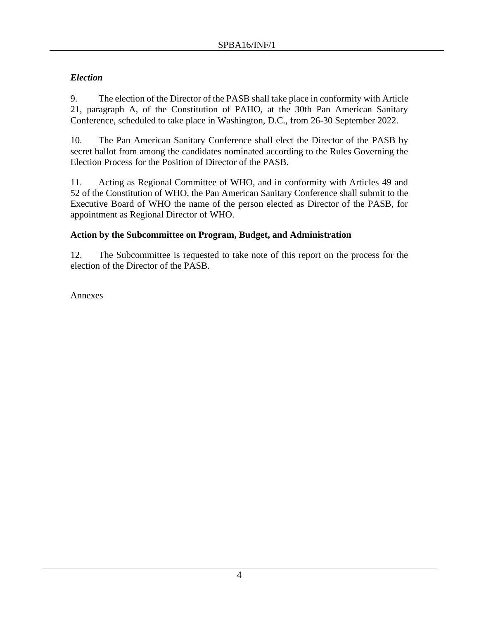# *Election*

9. The election of the Director of the PASB shall take place in conformity with Article 21, paragraph A, of the Constitution of PAHO, at the 30th Pan American Sanitary Conference, scheduled to take place in Washington, D.C., from 26-30 September 2022.

10. The Pan American Sanitary Conference shall elect the Director of the PASB by secret ballot from among the candidates nominated according to the Rules Governing the Election Process for the Position of Director of the PASB.

11. Acting as Regional Committee of WHO, and in conformity with Articles 49 and 52 of the Constitution of WHO, the Pan American Sanitary Conference shall submit to the Executive Board of WHO the name of the person elected as Director of the PASB, for appointment as Regional Director of WHO.

# **Action by the Subcommittee on Program, Budget, and Administration**

12. The Subcommittee is requested to take note of this report on the process for the election of the Director of the PASB.

Annexes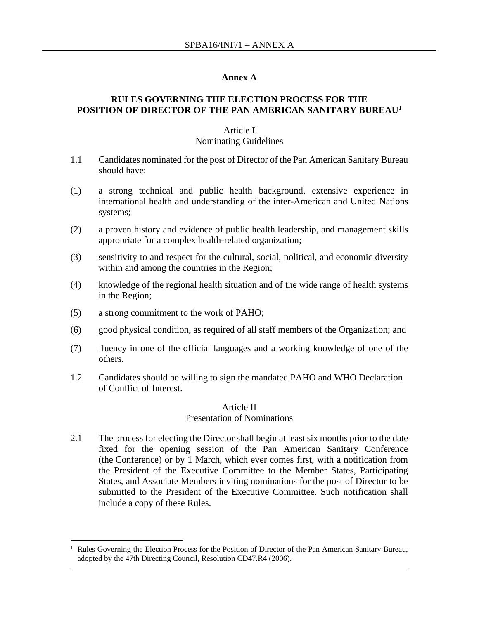#### **Annex A**

## **RULES GOVERNING THE ELECTION PROCESS FOR THE POSITION OF DIRECTOR OF THE PAN AMERICAN SANITARY BUREAU<sup>1</sup>**

#### Article I

#### Nominating Guidelines

- 1.1 Candidates nominated for the post of Director of the Pan American Sanitary Bureau should have:
- (1) a strong technical and public health background, extensive experience in international health and understanding of the inter-American and United Nations systems;
- (2) a proven history and evidence of public health leadership, and management skills appropriate for a complex health-related organization;
- (3) sensitivity to and respect for the cultural, social, political, and economic diversity within and among the countries in the Region;
- (4) knowledge of the regional health situation and of the wide range of health systems in the Region;
- (5) a strong commitment to the work of PAHO;
- (6) good physical condition, as required of all staff members of the Organization; and
- (7) fluency in one of the official languages and a working knowledge of one of the others.
- 1.2 Candidates should be willing to sign the mandated PAHO and WHO Declaration of Conflict of Interest.

#### Article II Presentation of Nominations

2.1 The process for electing the Director shall begin at least six months prior to the date fixed for the opening session of the Pan American Sanitary Conference (the Conference) or by 1 March, which ever comes first, with a notification from the President of the Executive Committee to the Member States, Participating States, and Associate Members inviting nominations for the post of Director to be submitted to the President of the Executive Committee. Such notification shall include a copy of these Rules.

<sup>1</sup> Rules Governing the Election Process for the Position of Director of the Pan American Sanitary Bureau, adopted by the 47th Directing Council, Resolution CD47.R4 (2006).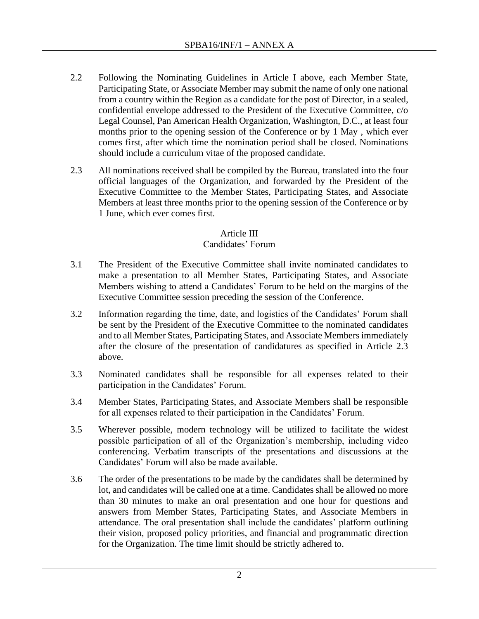- 2.2 Following the Nominating Guidelines in Article I above, each Member State, Participating State, or Associate Member may submit the name of only one national from a country within the Region as a candidate for the post of Director, in a sealed, confidential envelope addressed to the President of the Executive Committee, c/o Legal Counsel, Pan American Health Organization, Washington, D.C., at least four months prior to the opening session of the Conference or by 1 May , which ever comes first, after which time the nomination period shall be closed. Nominations should include a curriculum vitae of the proposed candidate.
- 2.3 All nominations received shall be compiled by the Bureau, translated into the four official languages of the Organization, and forwarded by the President of the Executive Committee to the Member States, Participating States, and Associate Members at least three months prior to the opening session of the Conference or by 1 June, which ever comes first.

# Article III

## Candidates' Forum

- 3.1 The President of the Executive Committee shall invite nominated candidates to make a presentation to all Member States, Participating States, and Associate Members wishing to attend a Candidates' Forum to be held on the margins of the Executive Committee session preceding the session of the Conference.
- 3.2 Information regarding the time, date, and logistics of the Candidates' Forum shall be sent by the President of the Executive Committee to the nominated candidates and to all Member States, Participating States, and Associate Members immediately after the closure of the presentation of candidatures as specified in Article 2.3 above.
- 3.3 Nominated candidates shall be responsible for all expenses related to their participation in the Candidates' Forum.
- 3.4 Member States, Participating States, and Associate Members shall be responsible for all expenses related to their participation in the Candidates' Forum.
- 3.5 Wherever possible, modern technology will be utilized to facilitate the widest possible participation of all of the Organization's membership, including video conferencing. Verbatim transcripts of the presentations and discussions at the Candidates' Forum will also be made available.
- 3.6 The order of the presentations to be made by the candidates shall be determined by lot, and candidates will be called one at a time. Candidates shall be allowed no more than 30 minutes to make an oral presentation and one hour for questions and answers from Member States, Participating States, and Associate Members in attendance. The oral presentation shall include the candidates' platform outlining their vision, proposed policy priorities, and financial and programmatic direction for the Organization. The time limit should be strictly adhered to.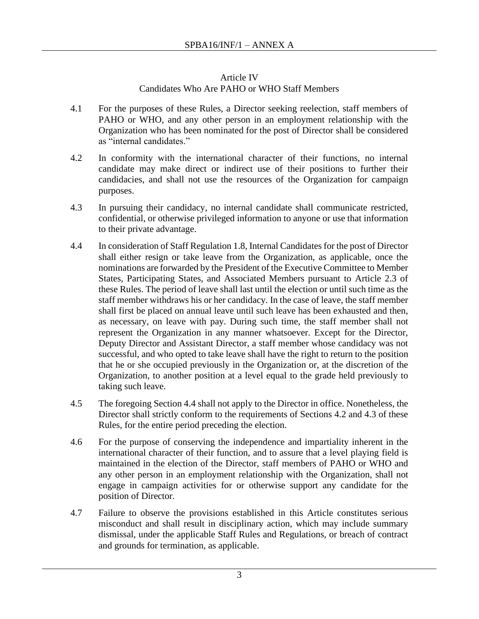# Article IV

# Candidates Who Are PAHO or WHO Staff Members

- 4.1 For the purposes of these Rules, a Director seeking reelection, staff members of PAHO or WHO, and any other person in an employment relationship with the Organization who has been nominated for the post of Director shall be considered as "internal candidates."
- 4.2 In conformity with the international character of their functions, no internal candidate may make direct or indirect use of their positions to further their candidacies, and shall not use the resources of the Organization for campaign purposes.
- 4.3 In pursuing their candidacy, no internal candidate shall communicate restricted, confidential, or otherwise privileged information to anyone or use that information to their private advantage.
- 4.4 In consideration of Staff Regulation 1.8, Internal Candidates for the post of Director shall either resign or take leave from the Organization, as applicable, once the nominations are forwarded by the President of the Executive Committee to Member States, Participating States, and Associated Members pursuant to Article 2.3 of these Rules. The period of leave shall last until the election or until such time as the staff member withdraws his or her candidacy. In the case of leave, the staff member shall first be placed on annual leave until such leave has been exhausted and then, as necessary, on leave with pay. During such time, the staff member shall not represent the Organization in any manner whatsoever. Except for the Director, Deputy Director and Assistant Director, a staff member whose candidacy was not successful, and who opted to take leave shall have the right to return to the position that he or she occupied previously in the Organization or, at the discretion of the Organization, to another position at a level equal to the grade held previously to taking such leave.
- 4.5 The foregoing Section 4.4 shall not apply to the Director in office. Nonetheless, the Director shall strictly conform to the requirements of Sections 4.2 and 4.3 of these Rules, for the entire period preceding the election.
- 4.6 For the purpose of conserving the independence and impartiality inherent in the international character of their function, and to assure that a level playing field is maintained in the election of the Director, staff members of PAHO or WHO and any other person in an employment relationship with the Organization, shall not engage in campaign activities for or otherwise support any candidate for the position of Director.
- 4.7 Failure to observe the provisions established in this Article constitutes serious misconduct and shall result in disciplinary action, which may include summary dismissal, under the applicable Staff Rules and Regulations, or breach of contract and grounds for termination, as applicable.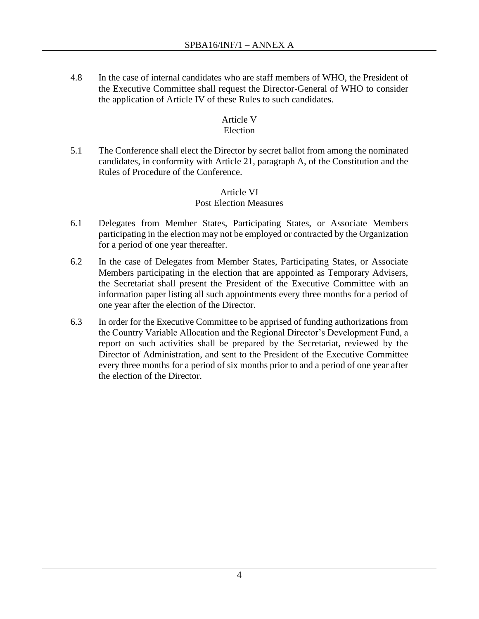4.8 In the case of internal candidates who are staff members of WHO, the President of the Executive Committee shall request the Director-General of WHO to consider the application of Article IV of these Rules to such candidates.

## Article V

## Election

5.1 The Conference shall elect the Director by secret ballot from among the nominated candidates, in conformity with Article 21, paragraph A, of the Constitution and the Rules of Procedure of the Conference.

## Article VI Post Election Measures

- 6.1 Delegates from Member States, Participating States, or Associate Members participating in the election may not be employed or contracted by the Organization for a period of one year thereafter.
- 6.2 In the case of Delegates from Member States, Participating States, or Associate Members participating in the election that are appointed as Temporary Advisers, the Secretariat shall present the President of the Executive Committee with an information paper listing all such appointments every three months for a period of one year after the election of the Director.
- 6.3 In order for the Executive Committee to be apprised of funding authorizations from the Country Variable Allocation and the Regional Director's Development Fund, a report on such activities shall be prepared by the Secretariat, reviewed by the Director of Administration, and sent to the President of the Executive Committee every three months for a period of six months prior to and a period of one year after the election of the Director.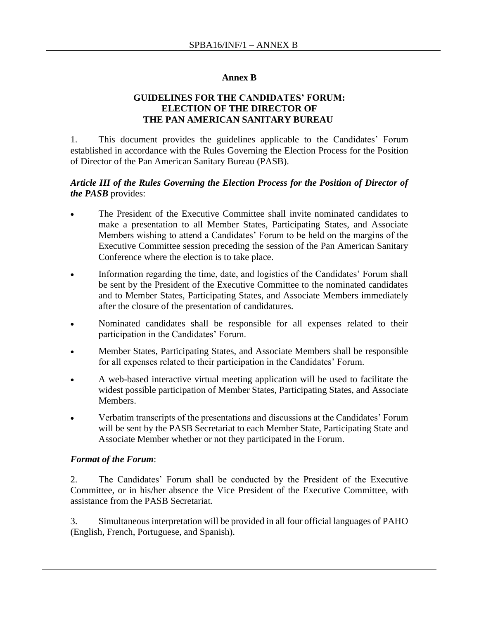#### **Annex B**

## **GUIDELINES FOR THE CANDIDATES' FORUM: ELECTION OF THE DIRECTOR OF THE PAN AMERICAN SANITARY BUREAU**

1. This document provides the guidelines applicable to the Candidates' Forum established in accordance with the Rules Governing the Election Process for the Position of Director of the Pan American Sanitary Bureau (PASB).

#### *Article III of the Rules Governing the Election Process for the Position of Director of the PASB* provides:

- The President of the Executive Committee shall invite nominated candidates to make a presentation to all Member States, Participating States, and Associate Members wishing to attend a Candidates' Forum to be held on the margins of the Executive Committee session preceding the session of the Pan American Sanitary Conference where the election is to take place.
- Information regarding the time, date, and logistics of the Candidates' Forum shall be sent by the President of the Executive Committee to the nominated candidates and to Member States, Participating States, and Associate Members immediately after the closure of the presentation of candidatures.
- Nominated candidates shall be responsible for all expenses related to their participation in the Candidates' Forum.
- Member States, Participating States, and Associate Members shall be responsible for all expenses related to their participation in the Candidates' Forum.
- A web-based interactive virtual meeting application will be used to facilitate the widest possible participation of Member States, Participating States, and Associate Members.
- Verbatim transcripts of the presentations and discussions at the Candidates' Forum will be sent by the PASB Secretariat to each Member State, Participating State and Associate Member whether or not they participated in the Forum.

#### *Format of the Forum*:

2. The Candidates' Forum shall be conducted by the President of the Executive Committee, or in his/her absence the Vice President of the Executive Committee, with assistance from the PASB Secretariat.

3. Simultaneous interpretation will be provided in all four official languages of PAHO (English, French, Portuguese, and Spanish).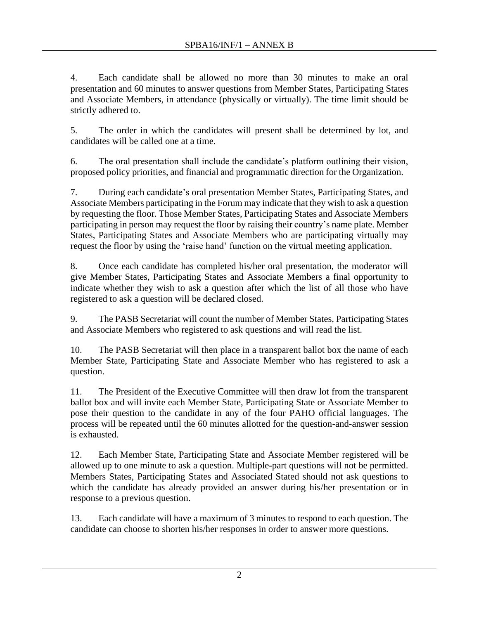4. Each candidate shall be allowed no more than 30 minutes to make an oral presentation and 60 minutes to answer questions from Member States, Participating States and Associate Members, in attendance (physically or virtually). The time limit should be strictly adhered to.

5. The order in which the candidates will present shall be determined by lot, and candidates will be called one at a time.

6. The oral presentation shall include the candidate's platform outlining their vision, proposed policy priorities, and financial and programmatic direction for the Organization.

7. During each candidate's oral presentation Member States, Participating States, and Associate Members participating in the Forum may indicate that they wish to ask a question by requesting the floor. Those Member States, Participating States and Associate Members participating in person may request the floor by raising their country's name plate. Member States, Participating States and Associate Members who are participating virtually may request the floor by using the 'raise hand' function on the virtual meeting application.

8. Once each candidate has completed his/her oral presentation, the moderator will give Member States, Participating States and Associate Members a final opportunity to indicate whether they wish to ask a question after which the list of all those who have registered to ask a question will be declared closed.

9. The PASB Secretariat will count the number of Member States, Participating States and Associate Members who registered to ask questions and will read the list.

10. The PASB Secretariat will then place in a transparent ballot box the name of each Member State, Participating State and Associate Member who has registered to ask a question.

11. The President of the Executive Committee will then draw lot from the transparent ballot box and will invite each Member State, Participating State or Associate Member to pose their question to the candidate in any of the four PAHO official languages. The process will be repeated until the 60 minutes allotted for the question-and-answer session is exhausted.

12. Each Member State, Participating State and Associate Member registered will be allowed up to one minute to ask a question. Multiple-part questions will not be permitted. Members States, Participating States and Associated Stated should not ask questions to which the candidate has already provided an answer during his/her presentation or in response to a previous question.

13. Each candidate will have a maximum of 3 minutes to respond to each question. The candidate can choose to shorten his/her responses in order to answer more questions.